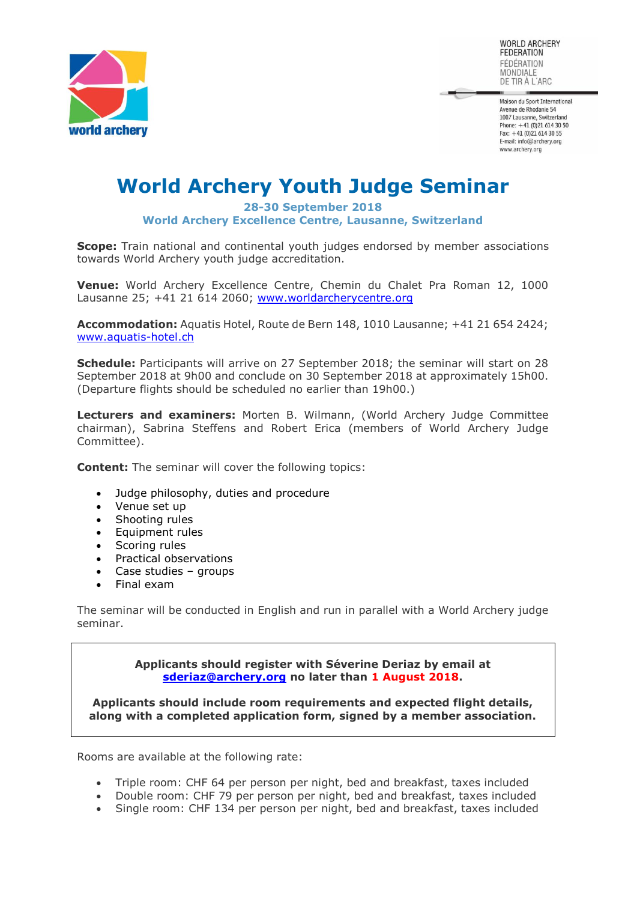

WORLD ARCHERY **FEDERATION** FÉDÉRATION MONDIALE DE TIR À L'ARC

Maison du Sport International Avenue de Rhodanie 54 1007 Lausanne, Switzerland Phone:  $+41$  (0)21 614 30 50 Fax:  $+41$  (0)21 614 30 55 E-mail: info@archery.org www.archery.org

# **World Archery Youth Judge Seminar**

#### **28-30 September 2018 World Archery Excellence Centre, Lausanne, Switzerland**

**Scope:** Train national and continental youth judges endorsed by member associations towards World Archery youth judge accreditation.

**Venue:** World Archery Excellence Centre, Chemin du Chalet Pra Roman 12, 1000 Lausanne 25; +41 21 614 2060; [www.worldarcherycentre.org](http://www.worldarcherycentre.org/)

**Accommodation:** Aquatis Hotel, Route de Bern 148, 1010 Lausanne; +41 21 654 2424; [www.aquatis-hotel.ch](http://www.aquatis-hotel.ch/)

**Schedule:** Participants will arrive on 27 September 2018; the seminar will start on 28 September 2018 at 9h00 and conclude on 30 September 2018 at approximately 15h00. (Departure flights should be scheduled no earlier than 19h00.)

**Lecturers and examiners:** Morten B. Wilmann, (World Archery Judge Committee chairman), Sabrina Steffens and Robert Erica (members of World Archery Judge Committee).

**Content:** The seminar will cover the following topics:

- Judge philosophy, duties and procedure
- Venue set up
- Shooting rules
- Equipment rules
- Scoring rules
- Practical observations
- Case studies groups
- Final exam

The seminar will be conducted in English and run in parallel with a World Archery judge seminar.

> **Applicants should register with Séverine Deriaz by email at [sderiaz@archery.org](mailto:sderiaz@archery.org) no later than 1 August 2018.**

**Applicants should include room requirements and expected flight details, along with a completed application form, signed by a member association.**

Rooms are available at the following rate:

- Triple room: CHF 64 per person per night, bed and breakfast, taxes included
- Double room: CHF 79 per person per night, bed and breakfast, taxes included
- Single room: CHF 134 per person per night, bed and breakfast, taxes included